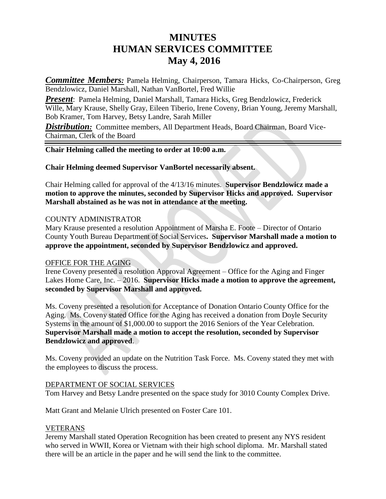# **MINUTES HUMAN SERVICES COMMITTEE May 4, 2016**

*Committee Members:* Pamela Helming, Chairperson, Tamara Hicks, Co-Chairperson, Greg Bendzlowicz, Daniel Marshall, Nathan VanBortel, Fred Willie

*Present*: Pamela Helming, Daniel Marshall, Tamara Hicks, Greg Bendzlowicz, Frederick Wille, Mary Krause, Shelly Gray, Eileen Tiberio, Irene Coveny, Brian Young, Jeremy Marshall, Bob Kramer, Tom Harvey, Betsy Landre, Sarah Miller

**Distribution:** Committee members, All Department Heads, Board Chairman, Board Vice-Chairman, Clerk of the Board

# **Chair Helming called the meeting to order at 10:00 a.m.**

**Chair Helming deemed Supervisor VanBortel necessarily absent.**

Chair Helming called for approval of the 4/13/16 minutes. **Supervisor Bendzlowicz made a motion to approve the minutes, seconded by Supervisor Hicks and approved. Supervisor Marshall abstained as he was not in attendance at the meeting.**

### COUNTY ADMINISTRATOR

Mary Krause presented a resolution Appointment of Marsha E. Foote – Director of Ontario County Youth Bureau Department of Social Services**. Supervisor Marshall made a motion to approve the appointment, seconded by Supervisor Bendzlowicz and approved.**

#### OFFICE FOR THE AGING

Irene Coveny presented a resolution Approval Agreement – Office for the Aging and Finger Lakes Home Care, Inc. – 2016. **Supervisor Hicks made a motion to approve the agreement, seconded by Supervisor Marshall and approved.**

Ms. Coveny presented a resolution for Acceptance of Donation Ontario County Office for the Aging. Ms. Coveny stated Office for the Aging has received a donation from Doyle Security Systems in the amount of \$1,000.00 to support the 2016 Seniors of the Year Celebration. **Supervisor Marshall made a motion to accept the resolution, seconded by Supervisor Bendzlowicz and approved**.

Ms. Coveny provided an update on the Nutrition Task Force. Ms. Coveny stated they met with the employees to discuss the process.

## DEPARTMENT OF SOCIAL SERVICES

Tom Harvey and Betsy Landre presented on the space study for 3010 County Complex Drive.

Matt Grant and Melanie Ulrich presented on Foster Care 101.

#### VETERANS

Jeremy Marshall stated Operation Recognition has been created to present any NYS resident who served in WWII, Korea or Vietnam with their high school diploma. Mr. Marshall stated there will be an article in the paper and he will send the link to the committee.